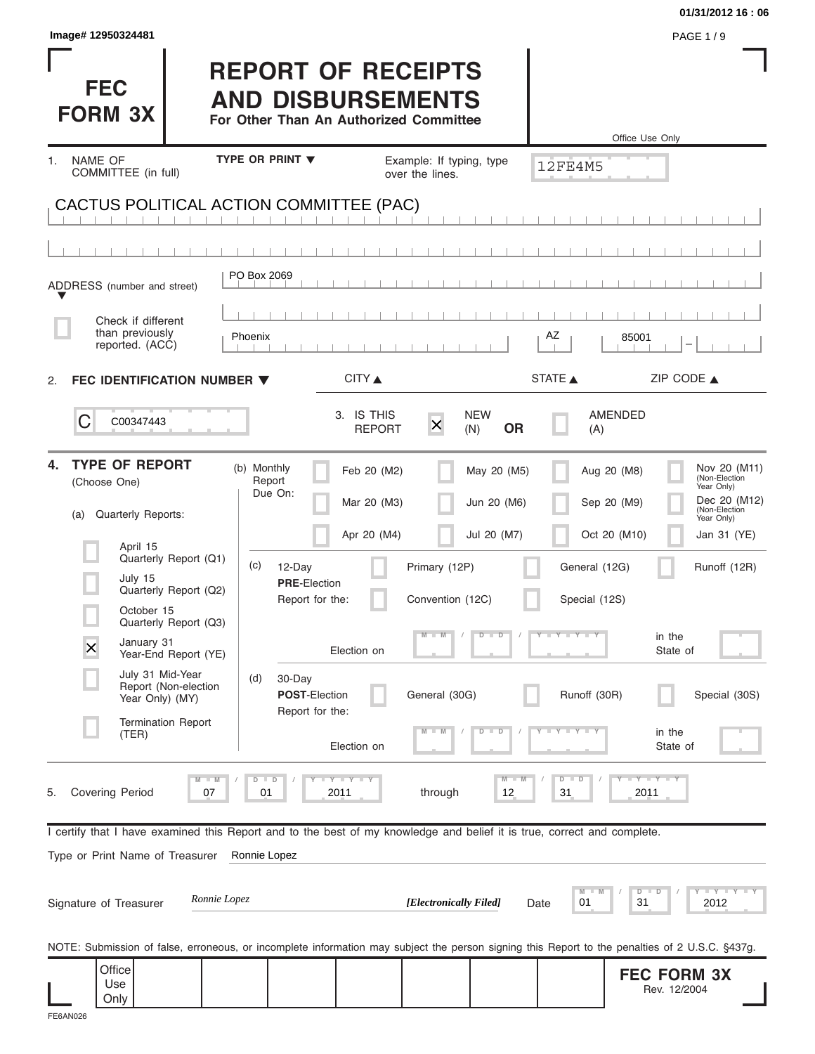|                                                                                                                                                |                                                                                                 |                             |                          |                                |                                     | 01/31/2012 16:06                                                                                                                                        |
|------------------------------------------------------------------------------------------------------------------------------------------------|-------------------------------------------------------------------------------------------------|-----------------------------|--------------------------|--------------------------------|-------------------------------------|---------------------------------------------------------------------------------------------------------------------------------------------------------|
| Image# 12950324481                                                                                                                             |                                                                                                 |                             |                          |                                |                                     | <b>PAGE 1/9</b>                                                                                                                                         |
| <b>FEC</b><br><b>FORM 3X</b>                                                                                                                   | <b>REPORT OF RECEIPTS</b><br><b>AND DISBURSEMENTS</b><br>For Other Than An Authorized Committee |                             |                          |                                |                                     | Office Use Only                                                                                                                                         |
| <b>NAME OF</b><br>1.                                                                                                                           | <b>TYPE OR PRINT ▼</b>                                                                          |                             | Example: If typing, type |                                | <b>12FE4M5</b>                      |                                                                                                                                                         |
| COMMITTEE (in full)                                                                                                                            |                                                                                                 |                             | over the lines.          |                                |                                     |                                                                                                                                                         |
| CACTUS POLITICAL ACTION COMMITTEE (PAC)                                                                                                        |                                                                                                 |                             |                          |                                |                                     |                                                                                                                                                         |
|                                                                                                                                                |                                                                                                 |                             |                          |                                |                                     |                                                                                                                                                         |
| ADDRESS (number and street)                                                                                                                    | PO Box 2069                                                                                     |                             |                          |                                |                                     |                                                                                                                                                         |
|                                                                                                                                                |                                                                                                 |                             |                          |                                |                                     |                                                                                                                                                         |
| Check if different<br>than previously<br>reported. (ACC)                                                                                       | Phoenix                                                                                         |                             |                          |                                | ΑZ                                  | 85001                                                                                                                                                   |
|                                                                                                                                                |                                                                                                 |                             |                          |                                |                                     |                                                                                                                                                         |
| FEC IDENTIFICATION NUMBER $\blacktriangledown$<br>2.                                                                                           |                                                                                                 | CITY ▲                      |                          |                                | STATE A                             | ZIP CODE $\triangle$                                                                                                                                    |
| C<br>C00347443                                                                                                                                 |                                                                                                 | 3. IS THIS<br><b>REPORT</b> | $\overline{\mathsf{x}}$  | <b>NEW</b><br><b>OR</b><br>(N) | (A)                                 | AMENDED                                                                                                                                                 |
| <b>TYPE OF REPORT</b><br>4.<br>(Choose One)                                                                                                    | (b) Monthly<br>Report<br>Due On:                                                                | Feb 20 (M2)<br>Mar 20 (M3)  |                          | May 20 (M5)<br>Jun 20 (M6)     |                                     | Nov 20 (M11)<br>Aug 20 (M8)<br>(Non-Election<br>Year Only)<br>Dec 20 (M12)<br>Sep 20 (M9)                                                               |
| Quarterly Reports:<br>(a)                                                                                                                      |                                                                                                 | Apr 20 (M4)                 |                          | Jul 20 (M7)                    |                                     | (Non-Election<br>Year Only)<br>Oct 20 (M10)<br>Jan 31 (YE)                                                                                              |
| April 15<br>Quarterly Report (Q1)                                                                                                              | (c)<br>12-Day                                                                                   |                             | Primary (12P)            |                                | General (12G)                       | Runoff (12R)                                                                                                                                            |
| July 15<br>Quarterly Report (Q2)                                                                                                               | <b>PRE-Election</b><br>Report for the:                                                          |                             | Convention (12C)         |                                |                                     |                                                                                                                                                         |
| October 15<br>Quarterly Report (Q3)                                                                                                            |                                                                                                 |                             |                          |                                | Special (12S)                       |                                                                                                                                                         |
| January 31<br>$\overline{\mathsf{x}}$<br>Year-End Report (YE)                                                                                  |                                                                                                 | Election on                 | $\blacksquare$           | $\overline{D}$<br>$\Box$       | $Y - Y - Y$                         | in the<br>State of                                                                                                                                      |
| July 31 Mid-Year<br>Report (Non-election<br>Year Only) (MY)                                                                                    | (d)<br>30-Day<br>POST-Election<br>Report for the:                                               |                             | General (30G)            |                                | Runoff (30R)                        | Special (30S)                                                                                                                                           |
| <b>Termination Report</b><br>(TER)                                                                                                             |                                                                                                 | Election on                 |                          | $\Box$<br>D                    |                                     | in the<br>State of                                                                                                                                      |
| $M - M$<br><b>Covering Period</b><br>07<br>5.                                                                                                  | $D$ $D$<br>01                                                                                   | <b>LYLYLY</b><br>2011       | through                  | $M - M$<br>12                  | $D - D$<br>31                       | $T - Y$ $T - Y$<br>2011                                                                                                                                 |
| I certify that I have examined this Report and to the best of my knowledge and belief it is true, correct and complete.                        |                                                                                                 |                             |                          |                                |                                     |                                                                                                                                                         |
| Type or Print Name of Treasurer                                                                                                                | Ronnie Lopez                                                                                    |                             |                          |                                |                                     |                                                                                                                                                         |
| Ronnie Lopez<br>Signature of Treasurer                                                                                                         |                                                                                                 |                             | [Electronically Filed]   |                                | M<br>$\blacksquare$ M<br>01<br>Date | $        +$ $ +$ $ +$ $ +$ $ +$ $ +$ $ +$ $ +$ $ +$ $ +$ $ +$ $ +$ $ +$ $ +$ $ +$ $ +$ $ +$ $ +$ $ +$ $ +$ $ +$ $ +$ $ +$ $ +$<br>$D$ $D$<br>31<br>2012 |
| NOTE: Submission of false, erroneous, or incomplete information may subject the person signing this Report to the penalties of 2 U.S.C. §437g. |                                                                                                 |                             |                          |                                |                                     |                                                                                                                                                         |
| Office<br>Use<br>Only                                                                                                                          |                                                                                                 |                             |                          |                                |                                     | <b>FEC FORM 3X</b><br>Rev. 12/2004                                                                                                                      |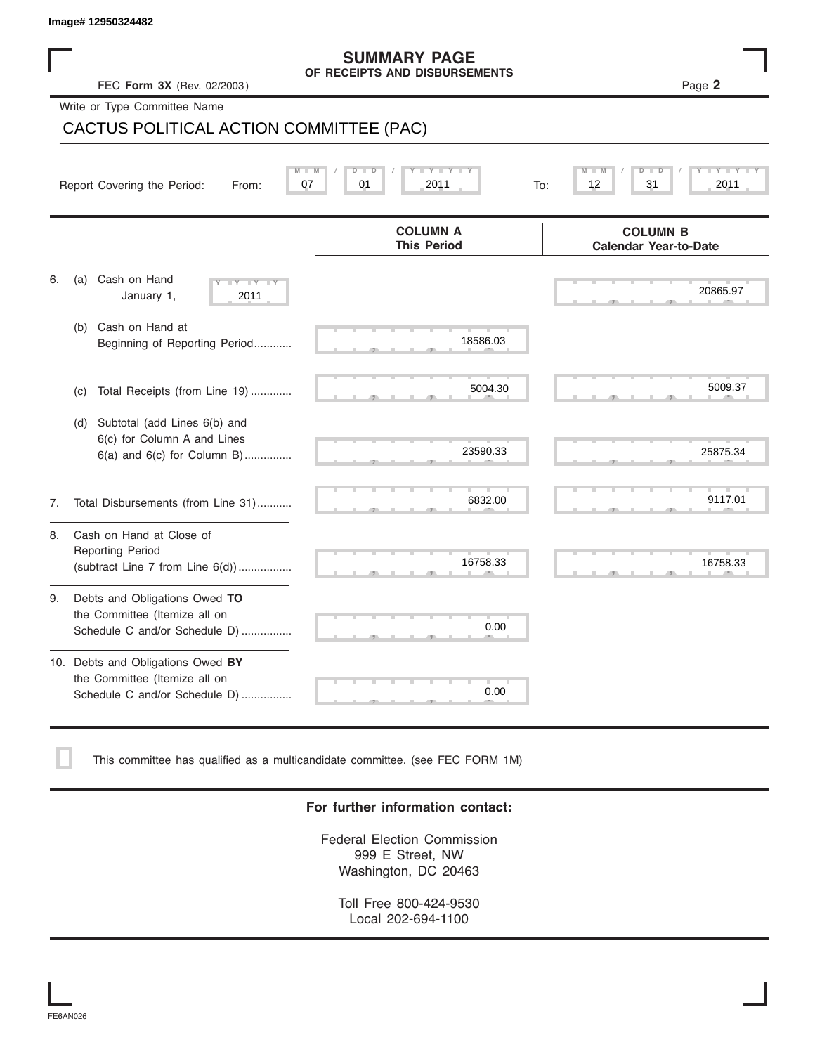|    | FEC Form 3X (Rev. 02/2003)                                                                            | <b>SUMMARY PAGE</b><br>OF RECEIPTS AND DISBURSEMENTS | Page 2                                          |
|----|-------------------------------------------------------------------------------------------------------|------------------------------------------------------|-------------------------------------------------|
|    | Write or Type Committee Name<br>CACTUS POLITICAL ACTION COMMITTEE (PAC)                               |                                                      |                                                 |
|    |                                                                                                       |                                                      |                                                 |
|    | Report Covering the Period:<br>From:                                                                  | Ÿ<br>τ<br>D<br>D<br>07<br>01<br>2011                 | т<br>Б<br>т<br>ŤD<br>To:<br>12<br>31<br>2011    |
|    |                                                                                                       | <b>COLUMN A</b><br><b>This Period</b>                | <b>COLUMN B</b><br><b>Calendar Year-to-Date</b> |
| 6. | Cash on Hand<br>(a)<br>$-Y - Y - Y$<br>January 1,<br>2011                                             |                                                      | 20865.97                                        |
|    | Cash on Hand at<br>(b)<br>Beginning of Reporting Period                                               | 18586.03                                             |                                                 |
|    | Total Receipts (from Line 19)<br>(c)                                                                  | 5004.30                                              | 5009.37                                         |
|    | Subtotal (add Lines 6(b) and<br>(d)<br>6(c) for Column A and Lines<br>$6(a)$ and $6(c)$ for Column B) | 23590.33                                             | 25875.34                                        |
| 7. | Total Disbursements (from Line 31)                                                                    | 6832.00                                              | 9117.01                                         |
| 8. | Cash on Hand at Close of<br><b>Reporting Period</b><br>(subtract Line $7$ from Line $6(d)$ )          | 16758.33                                             | 16758.33                                        |
| 9. | Debts and Obligations Owed TO<br>the Committee (Itemize all on<br>Schedule C and/or Schedule D)       | 0.00                                                 |                                                 |
|    | 10. Debts and Obligations Owed BY<br>the Committee (Itemize all on<br>Schedule C and/or Schedule D)   | 0.00                                                 |                                                 |

This committee has qualified as a multicandidate committee. (see FEC FORM 1M)

### **For further information contact:**

 $S$  S  $S$  S  $S$  S  $S$  S  $S$ 

Federal Election Commission 999 E Street, NW Washington, DC 20463

Toll Free 800-424-9530 Local 202-694-1100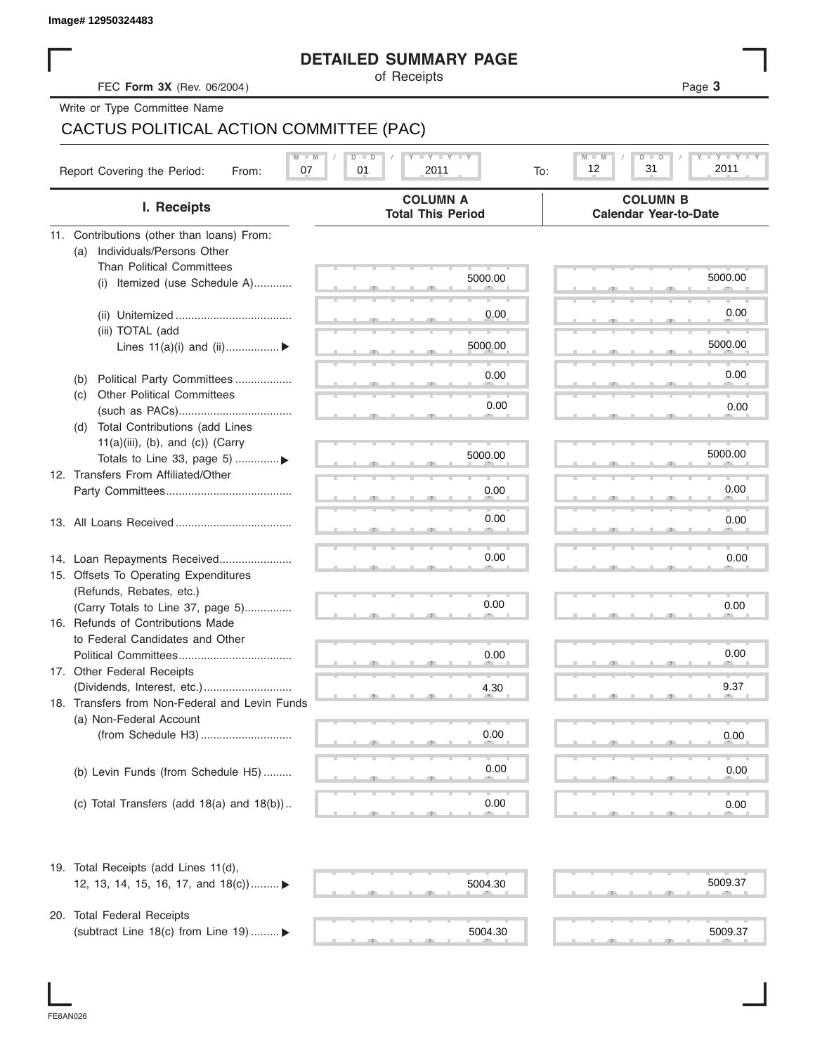|  | Image# 12950324483 |
|--|--------------------|
|--|--------------------|

## **DETAILED SUMMARY PAGE**

|                                                | <b>DETAILED SUMMARY PAGE</b>                 |                                                 |
|------------------------------------------------|----------------------------------------------|-------------------------------------------------|
| FEC Form 3X (Rev. 06/2004)                     | of Receipts                                  | Page 3                                          |
| Write or Type Committee Name                   |                                              |                                                 |
| CACTUS POLITICAL ACTION COMMITTEE (PAC)        |                                              |                                                 |
|                                                |                                              |                                                 |
| Report Covering the Period:<br>07<br>From:     | $T - Y = T - Y = T - Y$<br>01<br>2011<br>To: | Y TYT<br>M<br>D<br>12<br>31<br>2011             |
| I. Receipts                                    | <b>COLUMN A</b><br><b>Total This Period</b>  | <b>COLUMN B</b><br><b>Calendar Year-to-Date</b> |
| 11. Contributions (other than loans) From:     |                                              |                                                 |
| Individuals/Persons Other<br>(a)               |                                              |                                                 |
| <b>Than Political Committees</b>               |                                              | 5000.00                                         |
| Itemized (use Schedule A)<br>(i)               | 5000.00                                      |                                                 |
|                                                |                                              |                                                 |
|                                                | 0.00                                         | 0.00                                            |
| (iii) TOTAL (add                               |                                              |                                                 |
| Lines $11(a)(i)$ and $(ii)$                    | 5000.00                                      | 5000.00                                         |
|                                                | 0.00                                         | 0.00                                            |
| Political Party Committees<br>(b)              |                                              |                                                 |
| <b>Other Political Committees</b><br>(C)       | 0.00                                         | 0.00                                            |
| Total Contributions (add Lines<br>(d)          |                                              |                                                 |
| $11(a)(iii)$ , (b), and (c)) (Carry            |                                              |                                                 |
| Totals to Line 33, page 5) ▶                   | 5000.00                                      | 5000.00                                         |
| 12. Transfers From Affiliated/Other            |                                              |                                                 |
|                                                | 0.00                                         | 0.00                                            |
|                                                |                                              |                                                 |
|                                                | 0.00                                         | 0.00                                            |
|                                                |                                              |                                                 |
| 14. Loan Repayments Received                   | 0.00                                         | 0.00                                            |
| 15. Offsets To Operating Expenditures          |                                              |                                                 |
| (Refunds, Rebates, etc.)                       |                                              |                                                 |
| (Carry Totals to Line 37, page 5)              | 0.00                                         | 0.00                                            |
| 16. Refunds of Contributions Made              |                                              |                                                 |
| to Federal Candidates and Other                |                                              |                                                 |
| Political Committees                           | 0.00                                         | 0.00                                            |
| 17. Other Federal Receipts                     |                                              |                                                 |
|                                                | 4.30                                         | 9.37                                            |
| 18. Transfers from Non-Federal and Levin Funds |                                              |                                                 |
| (a) Non-Federal Account                        |                                              |                                                 |
|                                                | 0.00                                         | 0.00                                            |
|                                                |                                              |                                                 |
| (b) Levin Funds (from Schedule H5)             | 0.00                                         | 0.00                                            |
|                                                |                                              |                                                 |
| (c) Total Transfers (add $18(a)$ and $18(b)$ ) | 0.00                                         | 0.00                                            |
| 19. Total Receipts (add Lines 11(d),           |                                              |                                                 |
| 12, 13, 14, 15, 16, 17, and 18(c)) ▶           | 5004.30                                      | 5009.37                                         |
|                                                |                                              |                                                 |
| 20. Total Federal Receipts                     |                                              |                                                 |
| (subtract Line 18(c) from Line 19)  ▶          | 5004.30                                      | 5009.37                                         |
|                                                |                                              |                                                 |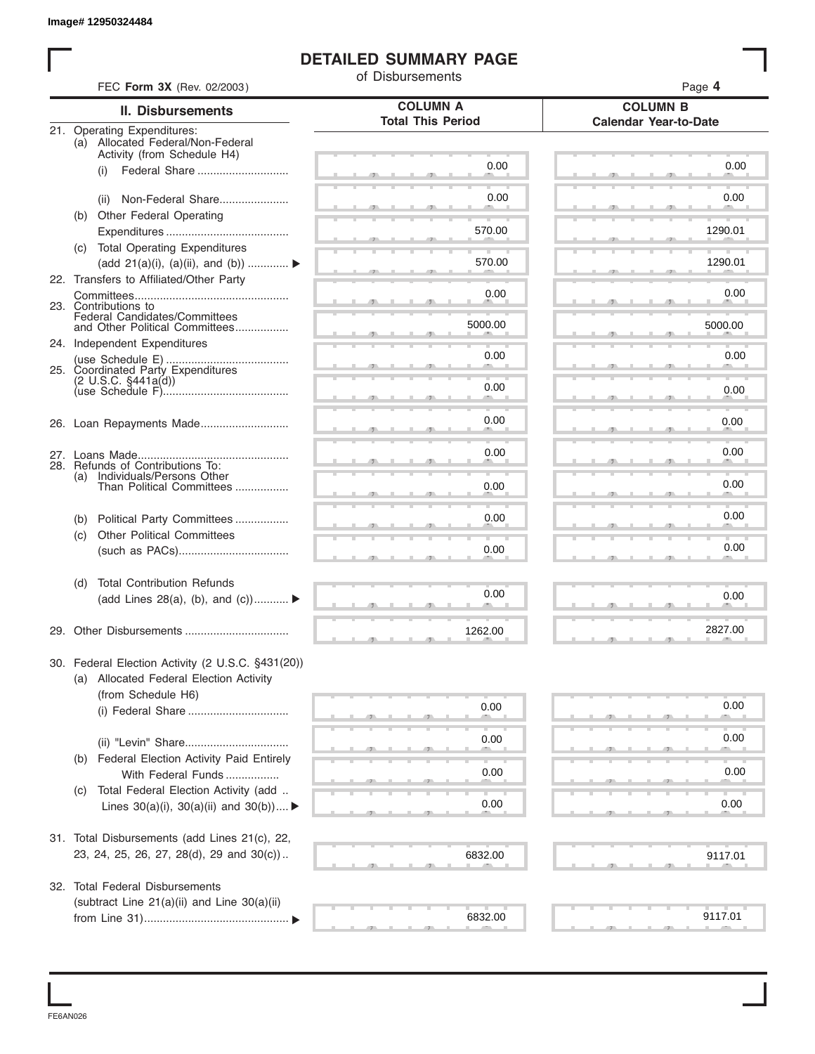## **DETAILED SUMMARY PAGE**

|     |                                                                 | of Disbursements         | Page 4                       |
|-----|-----------------------------------------------------------------|--------------------------|------------------------------|
|     | FEC Form 3X (Rev. 02/2003)<br><b>II. Disbursements</b>          | <b>COLUMN A</b>          | <b>COLUMN B</b>              |
|     | 21. Operating Expenditures:                                     | <b>Total This Period</b> | <b>Calendar Year-to-Date</b> |
|     | (a) Allocated Federal/Non-Federal                               |                          |                              |
|     | Activity (from Schedule H4)<br>Federal Share<br>(i)             | 0.00                     | 0.00                         |
|     |                                                                 |                          |                              |
|     | Non-Federal Share<br>(ii)                                       | 0.00                     | 0.00                         |
|     | (b) Other Federal Operating                                     |                          |                              |
|     |                                                                 | 570.00                   | 1290.01                      |
|     | (c) Total Operating Expenditures                                |                          |                              |
|     | (add 21(a)(i), (a)(ii), and (b))                                | 570.00                   | 1290.01                      |
|     | 22. Transfers to Affiliated/Other Party                         | 0.00                     | 0.00                         |
|     | 23. Contributions to                                            |                          |                              |
|     | Federal Candidates/Committees<br>and Other Political Committees | 5000.00                  | 5000.00                      |
|     | 24. Independent Expenditures                                    |                          |                              |
|     |                                                                 | 0.00                     | 0.00                         |
|     | 25. Coordinated Party Expenditures<br>$(2 \cup S.C. \S441a(d))$ |                          |                              |
|     |                                                                 | 0.00                     | 0.00                         |
|     |                                                                 | 0.00                     | 0.00                         |
|     |                                                                 |                          |                              |
|     |                                                                 | 0.00                     | 0.00                         |
|     | 28. Refunds of Contributions To:                                |                          |                              |
| (a) | Individuals/Persons Other<br>Than Political Committees          | 0.00                     | 0.00                         |
|     |                                                                 |                          |                              |
| (b) | Political Party Committees                                      | 0.00                     | 0.00                         |
| (c) | <b>Other Political Committees</b>                               |                          |                              |
|     |                                                                 | 0.00                     | 0.00                         |
| (d) | <b>Total Contribution Refunds</b>                               |                          |                              |
|     | (add Lines 28(a), (b), and $(c)$ )                              | 0.00                     | 0.00                         |
|     |                                                                 |                          | 2827.00                      |
|     |                                                                 | 1262.00                  |                              |
|     | 30. Federal Election Activity (2 U.S.C. §431(20))               |                          |                              |
|     | (a) Allocated Federal Election Activity                         |                          |                              |
|     | (from Schedule H6)                                              | 0.00                     | 0.00                         |
|     | (i) Federal Share                                               |                          |                              |
|     |                                                                 | 0.00                     | 0.00                         |
| (b) | Federal Election Activity Paid Entirely                         |                          |                              |
|     | With Federal Funds                                              | 0.00                     | 0.00                         |
| (C) | Total Federal Election Activity (add                            |                          |                              |
|     | Lines $30(a)(i)$ , $30(a)(ii)$ and $30(b))$                     | 0.00                     | 0.00                         |
|     |                                                                 |                          |                              |
|     | 31. Total Disbursements (add Lines 21(c), 22,                   |                          |                              |
|     | 23, 24, 25, 26, 27, 28(d), 29 and 30(c))                        | 6832.00                  | 9117.01                      |
|     | 32. Total Federal Disbursements                                 |                          |                              |
|     | (subtract Line 21(a)(ii) and Line 30(a)(ii)                     |                          |                              |
|     |                                                                 | 6832.00                  | 9117.01                      |

FE6AN026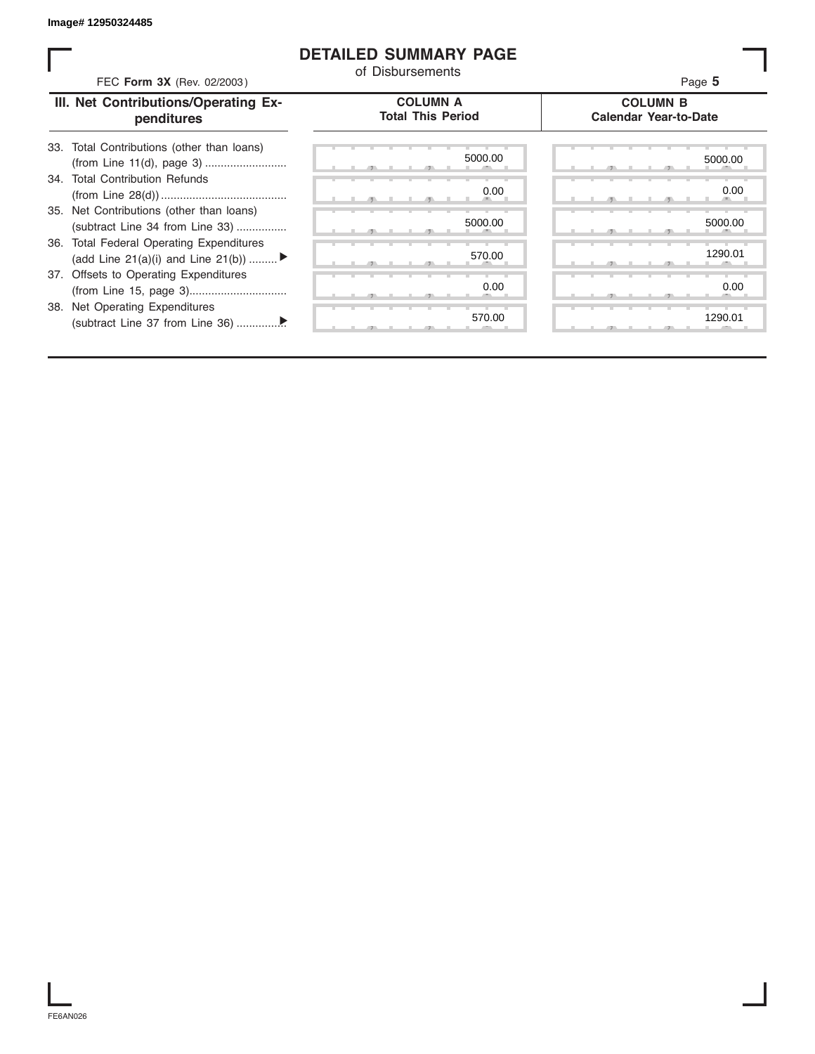## **DETAILED SUMMARY PAGE**

| FEC Form 3X (Rev. 02/2003)                                                                                                                                                                              | <b>DETAILED SUMMARY PAGE</b><br>of Disbursements | Page 5                                          |
|---------------------------------------------------------------------------------------------------------------------------------------------------------------------------------------------------------|--------------------------------------------------|-------------------------------------------------|
| III. Net Contributions/Operating Ex-<br>penditures                                                                                                                                                      | <b>COLUMN A</b><br><b>Total This Period</b>      | <b>COLUMN B</b><br><b>Calendar Year-to-Date</b> |
| 33. Total Contributions (other than loans)<br>34. Total Contribution Refunds<br>35. Net Contributions (other than loans)<br>(subtract Line 34 from Line 33)<br>36. Total Federal Operating Expenditures | 5000.00<br>0.00<br>5000.00<br>570.00             | 5000.00<br>0.00<br>5000.00<br>1290.01           |
| (add Line 21(a)(i) and Line 21(b))<br>37. Offsets to Operating Expenditures<br>38. Net Operating Expenditures                                                                                           | 0.00<br>570.00                                   | 0.00<br>1290.01                                 |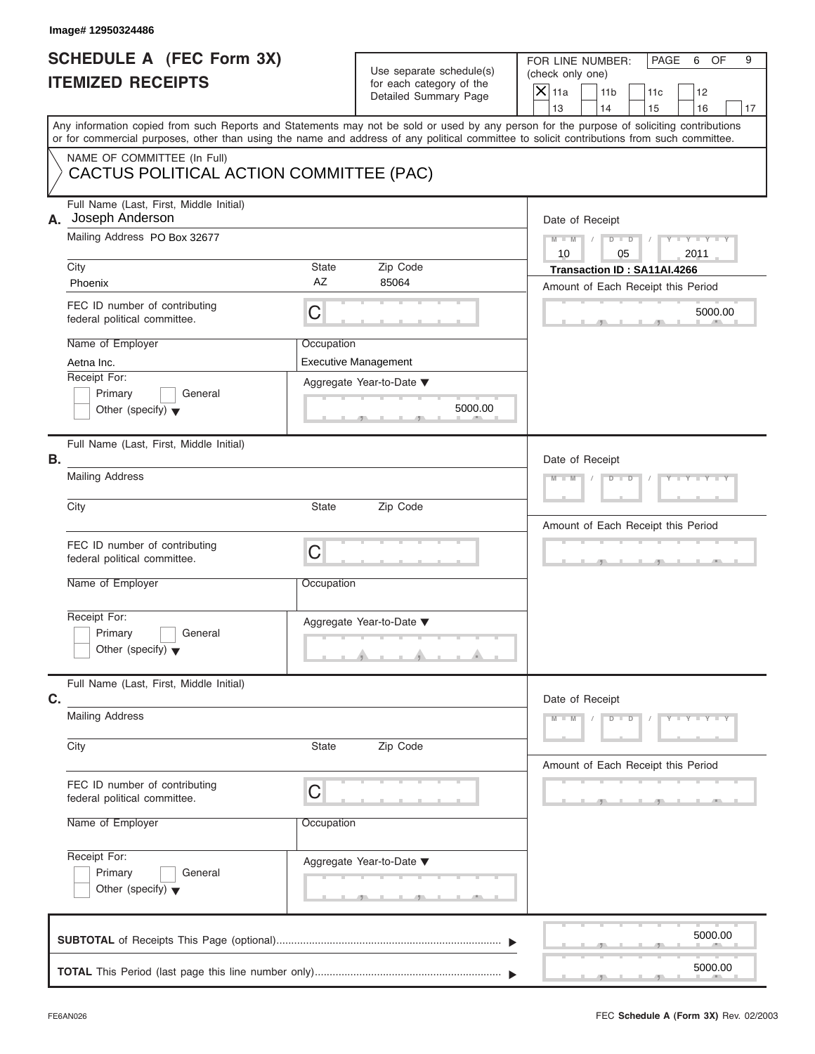#### **Image# 12950324486**

# **SCHEDULE A (FEC Form 3X) ITEMIZED RECEIPTS**

FOR LINE NUMBER: PAGE 6 OF<br>(check only one)

| SCHEDULE A (FEC Form 3X)<br><b>ITEMIZED RECEIPTS</b>                                                                                                                                                                                                                                    |            | Use separate schedule(s)<br>for each category of the<br>Detailed Summary Page | FOR LINE NUMBER:<br>PAGE<br>6<br>OF<br>9<br>(check only one)<br>$X$ 11a<br>11 <sub>b</sub><br>12<br>11c |
|-----------------------------------------------------------------------------------------------------------------------------------------------------------------------------------------------------------------------------------------------------------------------------------------|------------|-------------------------------------------------------------------------------|---------------------------------------------------------------------------------------------------------|
| Any information copied from such Reports and Statements may not be sold or used by any person for the purpose of soliciting contributions<br>or for commercial purposes, other than using the name and address of any political committee to solicit contributions from such committee. |            |                                                                               | 13<br>14<br>16<br>15<br>17                                                                              |
| NAME OF COMMITTEE (In Full)<br>CACTUS POLITICAL ACTION COMMITTEE (PAC)                                                                                                                                                                                                                  |            |                                                                               |                                                                                                         |
| Full Name (Last, First, Middle Initial)<br>A. Joseph Anderson                                                                                                                                                                                                                           |            |                                                                               | Date of Receipt                                                                                         |
| Mailing Address PO Box 32677<br>City                                                                                                                                                                                                                                                    | State      | Zip Code                                                                      | $M - M$ /<br>$D$ $D$<br>$T - Y = -Y - T - Y$<br>10<br>05<br>2011<br>Transaction ID: SA11AI.4266         |
| Phoenix                                                                                                                                                                                                                                                                                 | AZ         | 85064                                                                         | Amount of Each Receipt this Period                                                                      |
| FEC ID number of contributing<br>federal political committee.                                                                                                                                                                                                                           | C          |                                                                               | 5000.00                                                                                                 |
| Name of Employer<br>Aetna Inc.                                                                                                                                                                                                                                                          | Occupation | <b>Executive Management</b>                                                   |                                                                                                         |
| Receipt For:<br>Primary<br>General<br>Other (specify) $\blacktriangledown$                                                                                                                                                                                                              |            | Aggregate Year-to-Date ▼<br>5000.00<br>$-$                                    |                                                                                                         |
| Full Name (Last, First, Middle Initial)<br>В.                                                                                                                                                                                                                                           |            |                                                                               | Date of Receipt                                                                                         |
| <b>Mailing Address</b>                                                                                                                                                                                                                                                                  |            |                                                                               | $M - M$<br>$Y - Y$<br>$D$ $D$                                                                           |
| City                                                                                                                                                                                                                                                                                    | State      | Zip Code                                                                      |                                                                                                         |
| FEC ID number of contributing<br>federal political committee.                                                                                                                                                                                                                           | C          |                                                                               | Amount of Each Receipt this Period                                                                      |
| Name of Employer                                                                                                                                                                                                                                                                        | Occupation |                                                                               |                                                                                                         |
| Receipt For:<br>Primary<br>General<br>Other (specify) $\blacktriangledown$                                                                                                                                                                                                              |            | Aggregate Year-to-Date ▼<br>محصد                                              |                                                                                                         |
| Full Name (Last, First, Middle Initial)<br>C.                                                                                                                                                                                                                                           |            |                                                                               | Date of Receipt                                                                                         |
| <b>Mailing Address</b>                                                                                                                                                                                                                                                                  |            |                                                                               | $M - M$<br>$D$ $\Box$ $D$<br>$Y = Y = Y - Y$                                                            |
| City                                                                                                                                                                                                                                                                                    | State      | Zip Code                                                                      | Amount of Each Receipt this Period                                                                      |
| FEC ID number of contributing<br>federal political committee.                                                                                                                                                                                                                           | C          |                                                                               |                                                                                                         |
| Name of Employer                                                                                                                                                                                                                                                                        | Occupation |                                                                               |                                                                                                         |
| Receipt For:<br>Primary<br>General<br>Other (specify) $\blacktriangledown$                                                                                                                                                                                                              |            | Aggregate Year-to-Date ▼                                                      |                                                                                                         |
|                                                                                                                                                                                                                                                                                         |            |                                                                               | 5000.00                                                                                                 |
|                                                                                                                                                                                                                                                                                         |            |                                                                               | 5000.00                                                                                                 |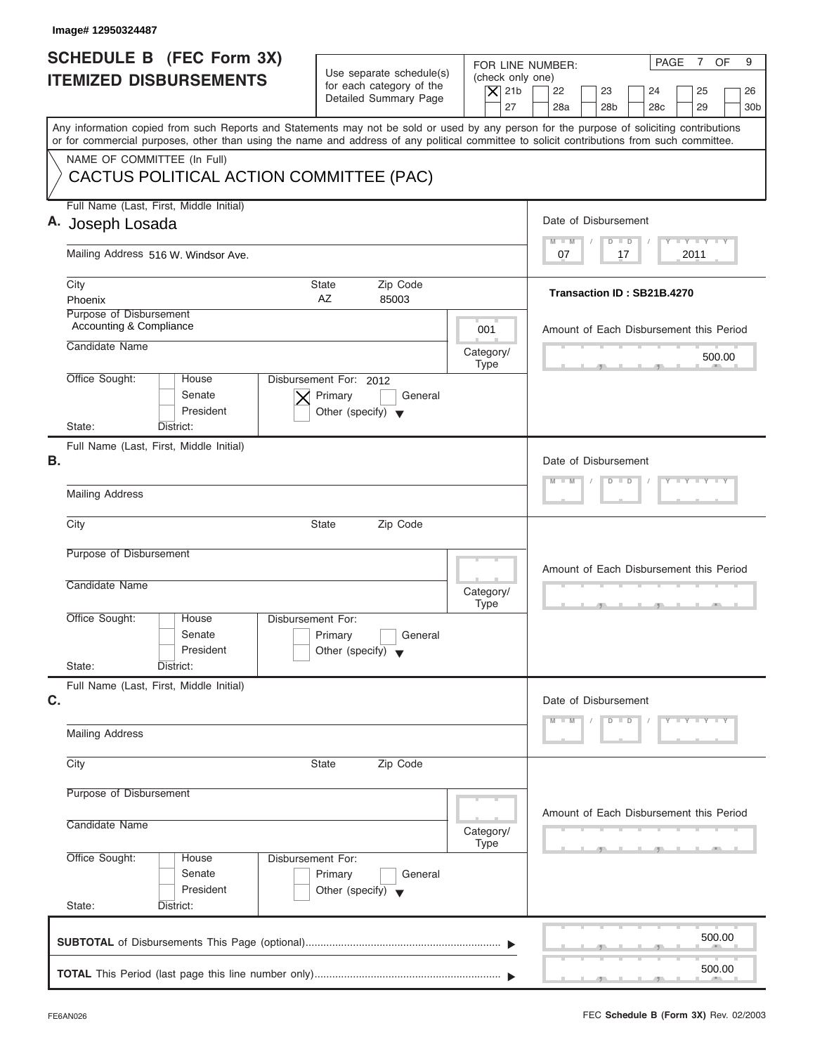| <b>SCHEDULE B (FEC Form 3X)</b>                                                                                                                                                                                                                                                         | Use separate schedule(s)                                                             | PAGE<br>$\overline{7}$<br>OF<br>9<br>FOR LINE NUMBER: |                                                                                                  |  |  |
|-----------------------------------------------------------------------------------------------------------------------------------------------------------------------------------------------------------------------------------------------------------------------------------------|--------------------------------------------------------------------------------------|-------------------------------------------------------|--------------------------------------------------------------------------------------------------|--|--|
| <b>ITEMIZED DISBURSEMENTS</b>                                                                                                                                                                                                                                                           | for each category of the<br>Detailed Summary Page                                    | (check only one)<br>$\vert$ $\chi$ 21b<br>27          | 22<br>23<br>24<br>25<br>26<br>28a<br>28 <sub>b</sub><br>29<br>28 <sub>c</sub><br>30 <sub>b</sub> |  |  |
| Any information copied from such Reports and Statements may not be sold or used by any person for the purpose of soliciting contributions<br>or for commercial purposes, other than using the name and address of any political committee to solicit contributions from such committee. |                                                                                      |                                                       |                                                                                                  |  |  |
| NAME OF COMMITTEE (In Full)<br>CACTUS POLITICAL ACTION COMMITTEE (PAC)                                                                                                                                                                                                                  |                                                                                      |                                                       |                                                                                                  |  |  |
| Full Name (Last, First, Middle Initial)<br>A. Joseph Losada                                                                                                                                                                                                                             |                                                                                      |                                                       | Date of Disbursement<br>Y L Y L Y L Y<br>$M - M$<br>$D$ $D$                                      |  |  |
| Mailing Address 516 W. Windsor Ave.                                                                                                                                                                                                                                                     |                                                                                      |                                                       | 07<br>17<br>2011                                                                                 |  |  |
| City<br>Phoenix                                                                                                                                                                                                                                                                         | Zip Code<br><b>State</b><br>AZ<br>85003                                              |                                                       | Transaction ID: SB21B.4270                                                                       |  |  |
| Purpose of Disbursement<br>Accounting & Compliance                                                                                                                                                                                                                                      |                                                                                      | 001                                                   | Amount of Each Disbursement this Period                                                          |  |  |
| Candidate Name                                                                                                                                                                                                                                                                          |                                                                                      | Category/<br><b>Type</b>                              | 500.00                                                                                           |  |  |
| Office Sought:<br>House<br>Senate<br>President                                                                                                                                                                                                                                          | Disbursement For: 2012<br>Primary<br>General<br>Other (specify) $\blacktriangledown$ |                                                       |                                                                                                  |  |  |
| State:<br>District:<br>Full Name (Last, First, Middle Initial)<br>В.                                                                                                                                                                                                                    |                                                                                      |                                                       | Date of Disbursement                                                                             |  |  |
| <b>Mailing Address</b>                                                                                                                                                                                                                                                                  |                                                                                      |                                                       | $Y = Y = Y = Y$<br>$M - M$<br>$D$ $D$<br>$\sqrt{2}$                                              |  |  |
| City                                                                                                                                                                                                                                                                                    | <b>State</b><br>Zip Code                                                             |                                                       |                                                                                                  |  |  |
| Purpose of Disbursement                                                                                                                                                                                                                                                                 |                                                                                      |                                                       | Amount of Each Disbursement this Period                                                          |  |  |
| Candidate Name                                                                                                                                                                                                                                                                          |                                                                                      | Category/<br><b>Type</b>                              | 49                                                                                               |  |  |
| Office Sought:<br>House<br>Senate<br>President<br>State:<br>District:                                                                                                                                                                                                                   | Disbursement For:<br>General<br>Primary<br>Other (specify) $\blacktriangledown$      |                                                       |                                                                                                  |  |  |
| Full Name (Last, First, Middle Initial)<br>C.                                                                                                                                                                                                                                           |                                                                                      |                                                       | Date of Disbursement                                                                             |  |  |
| <b>Mailing Address</b>                                                                                                                                                                                                                                                                  |                                                                                      |                                                       | $Y - Y - Y - Y - Y$<br>$M - M$<br>$D$ $D$                                                        |  |  |
| City                                                                                                                                                                                                                                                                                    | Zip Code<br><b>State</b>                                                             |                                                       |                                                                                                  |  |  |
| Purpose of Disbursement                                                                                                                                                                                                                                                                 |                                                                                      |                                                       | Amount of Each Disbursement this Period                                                          |  |  |
| Candidate Name                                                                                                                                                                                                                                                                          |                                                                                      | Category/<br><b>Type</b>                              |                                                                                                  |  |  |
| Office Sought:<br>House<br>Senate<br>President<br>State:<br>District:                                                                                                                                                                                                                   | Disbursement For:<br>Primary<br>General<br>Other (specify)                           |                                                       |                                                                                                  |  |  |
|                                                                                                                                                                                                                                                                                         |                                                                                      |                                                       | 500.00                                                                                           |  |  |
|                                                                                                                                                                                                                                                                                         |                                                                                      |                                                       | 500.00                                                                                           |  |  |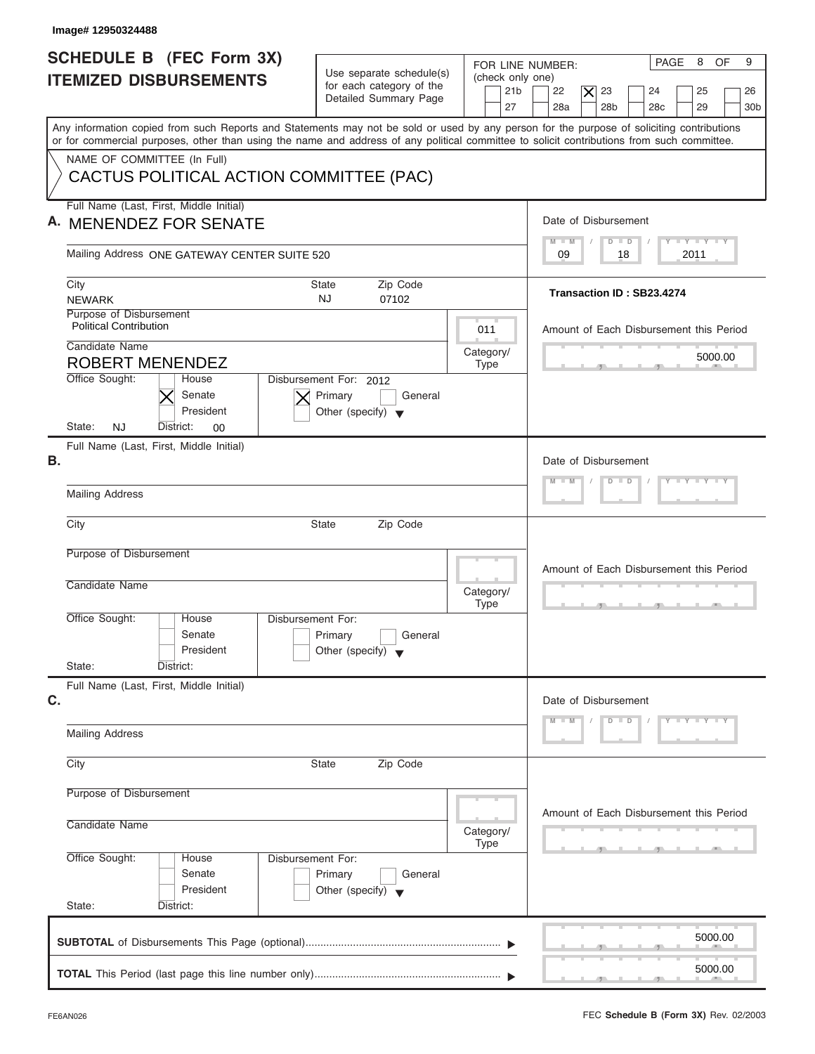| FOR LINE NUMBER:<br>Use separate schedule(s)<br>(check only one)<br><b>ITEMIZED DISBURSEMENTS</b><br>for each category of the<br>21 <sub>b</sub><br>$\overline{\mathsf{x}}$<br>22<br>23<br>25<br>24<br>Detailed Summary Page<br>27<br>28a<br>28 <sub>b</sub><br>29<br>28 <sub>c</sub><br>Any information copied from such Reports and Statements may not be sold or used by any person for the purpose of soliciting contributions<br>or for commercial purposes, other than using the name and address of any political committee to solicit contributions from such committee.<br>NAME OF COMMITTEE (In Full)<br>CACTUS POLITICAL ACTION COMMITTEE (PAC)<br>Full Name (Last, First, Middle Initial) | 26<br>30b |
|-------------------------------------------------------------------------------------------------------------------------------------------------------------------------------------------------------------------------------------------------------------------------------------------------------------------------------------------------------------------------------------------------------------------------------------------------------------------------------------------------------------------------------------------------------------------------------------------------------------------------------------------------------------------------------------------------------|-----------|
|                                                                                                                                                                                                                                                                                                                                                                                                                                                                                                                                                                                                                                                                                                       |           |
|                                                                                                                                                                                                                                                                                                                                                                                                                                                                                                                                                                                                                                                                                                       |           |
|                                                                                                                                                                                                                                                                                                                                                                                                                                                                                                                                                                                                                                                                                                       |           |
|                                                                                                                                                                                                                                                                                                                                                                                                                                                                                                                                                                                                                                                                                                       |           |
|                                                                                                                                                                                                                                                                                                                                                                                                                                                                                                                                                                                                                                                                                                       |           |
| Date of Disbursement<br>Α.<br><b>MENENDEZ FOR SENATE</b>                                                                                                                                                                                                                                                                                                                                                                                                                                                                                                                                                                                                                                              |           |
| Y LY LY LY<br>$M - M$<br>$D$ $D$<br>Mailing Address ONE GATEWAY CENTER SUITE 520<br>09<br>18<br>2011                                                                                                                                                                                                                                                                                                                                                                                                                                                                                                                                                                                                  |           |
|                                                                                                                                                                                                                                                                                                                                                                                                                                                                                                                                                                                                                                                                                                       |           |
| Zip Code<br>City<br>State<br>Transaction ID: SB23.4274<br>NJ.<br><b>NEWARK</b><br>07102                                                                                                                                                                                                                                                                                                                                                                                                                                                                                                                                                                                                               |           |
| Purpose of Disbursement<br><b>Political Contribution</b><br>011<br>Amount of Each Disbursement this Period                                                                                                                                                                                                                                                                                                                                                                                                                                                                                                                                                                                            |           |
| Candidate Name<br>Category/<br>5000.00                                                                                                                                                                                                                                                                                                                                                                                                                                                                                                                                                                                                                                                                |           |
| <b>ROBERT MENENDEZ</b><br>Type<br>Office Sought:<br>House<br>Disbursement For: 2012                                                                                                                                                                                                                                                                                                                                                                                                                                                                                                                                                                                                                   |           |
| Senate<br>Primary<br>General                                                                                                                                                                                                                                                                                                                                                                                                                                                                                                                                                                                                                                                                          |           |
| President<br>Other (specify) $\blacktriangledown$<br>State:<br>NJ<br>District:<br>$00\,$                                                                                                                                                                                                                                                                                                                                                                                                                                                                                                                                                                                                              |           |
| Full Name (Last, First, Middle Initial)                                                                                                                                                                                                                                                                                                                                                                                                                                                                                                                                                                                                                                                               |           |
| В.<br>Date of Disbursement<br>$Y = Y = Y = Y = Y$<br>$M - M$<br>$D$ $D$ $I$                                                                                                                                                                                                                                                                                                                                                                                                                                                                                                                                                                                                                           |           |
| <b>Mailing Address</b>                                                                                                                                                                                                                                                                                                                                                                                                                                                                                                                                                                                                                                                                                |           |
| Zip Code<br>City<br><b>State</b>                                                                                                                                                                                                                                                                                                                                                                                                                                                                                                                                                                                                                                                                      |           |
| Purpose of Disbursement<br>Amount of Each Disbursement this Period                                                                                                                                                                                                                                                                                                                                                                                                                                                                                                                                                                                                                                    |           |
| Candidate Name<br>Category/                                                                                                                                                                                                                                                                                                                                                                                                                                                                                                                                                                                                                                                                           |           |
| Type                                                                                                                                                                                                                                                                                                                                                                                                                                                                                                                                                                                                                                                                                                  |           |
| Office Sought:<br>Disbursement For:<br>House<br>Senate<br>General<br>Primary<br>President                                                                                                                                                                                                                                                                                                                                                                                                                                                                                                                                                                                                             |           |
| Other (specify) $\blacktriangledown$<br>State:<br>District:                                                                                                                                                                                                                                                                                                                                                                                                                                                                                                                                                                                                                                           |           |
| Full Name (Last, First, Middle Initial)<br>C.<br>Date of Disbursement                                                                                                                                                                                                                                                                                                                                                                                                                                                                                                                                                                                                                                 |           |
| $Y - Y - Y - Y - Y$<br>$D$ $D$                                                                                                                                                                                                                                                                                                                                                                                                                                                                                                                                                                                                                                                                        |           |
| <b>Mailing Address</b>                                                                                                                                                                                                                                                                                                                                                                                                                                                                                                                                                                                                                                                                                |           |
| Zip Code<br>City<br>State                                                                                                                                                                                                                                                                                                                                                                                                                                                                                                                                                                                                                                                                             |           |
| Purpose of Disbursement                                                                                                                                                                                                                                                                                                                                                                                                                                                                                                                                                                                                                                                                               |           |
| Amount of Each Disbursement this Period<br>Candidate Name<br>Category/<br>Type                                                                                                                                                                                                                                                                                                                                                                                                                                                                                                                                                                                                                        |           |
| Office Sought:<br>Disbursement For:<br>House<br>Senate                                                                                                                                                                                                                                                                                                                                                                                                                                                                                                                                                                                                                                                |           |
| Primary<br>General<br>President<br>Other (specify)                                                                                                                                                                                                                                                                                                                                                                                                                                                                                                                                                                                                                                                    |           |
| State:<br>District:                                                                                                                                                                                                                                                                                                                                                                                                                                                                                                                                                                                                                                                                                   |           |
| 5000.00                                                                                                                                                                                                                                                                                                                                                                                                                                                                                                                                                                                                                                                                                               |           |
| 5000.00                                                                                                                                                                                                                                                                                                                                                                                                                                                                                                                                                                                                                                                                                               |           |

I